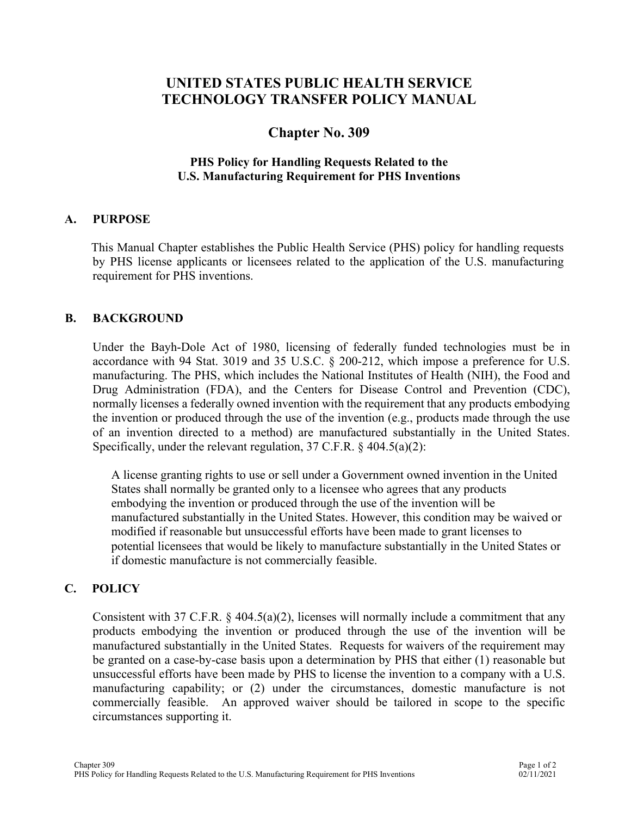# **UNITED STATES PUBLIC HEALTH SERVICE TECHNOLOGY TRANSFER POLICY MANUAL**

## **Chapter No. 309**

### **PHS Policy for Handling Requests Related to the U.S. Manufacturing Requirement for PHS Inventions**

#### **A. PURPOSE**

 This Manual Chapter establishes the Public Health Service (PHS) policy for handling requests by PHS license applicants or licensees related to the application of the U.S. manufacturing requirement for PHS inventions.

#### **B. BACKGROUND**

Under the Bayh-Dole Act of 1980, licensing of federally funded technologies must be in accordance with 94 Stat. 3019 and 35 U.S.C. § 200-212, which impose a preference for U.S. manufacturing. The PHS, which includes the National Institutes of Health (NIH), the Food and Drug Administration (FDA), and the Centers for Disease Control and Prevention (CDC), normally licenses a federally owned invention with the requirement that any products embodying the invention or produced through the use of the invention (e.g., products made through the use of an invention directed to a method) are manufactured substantially in the United States. Specifically, under the relevant regulation, 37 C.F.R. § 404.5(a)(2):

A license granting rights to use or sell under a Government owned invention in the United States shall normally be granted only to a licensee who agrees that any products embodying the invention or produced through the use of the invention will be manufactured substantially in the United States. However, this condition may be waived or modified if reasonable but unsuccessful efforts have been made to grant licenses to potential licensees that would be likely to manufacture substantially in the United States or if domestic manufacture is not commercially feasible.

### **C. POLICY**

Consistent with 37 C.F.R. § 404.5(a)(2), licenses will normally include a commitment that any products embodying the invention or produced through the use of the invention will be manufactured substantially in the United States. Requests for waivers of the requirement may be granted on a case-by-case basis upon a determination by PHS that either (1) reasonable but unsuccessful efforts have been made by PHS to license the invention to a company with a U.S. manufacturing capability; or (2) under the circumstances, domestic manufacture is not commercially feasible. An approved waiver should be tailored in scope to the specific circumstances supporting it.